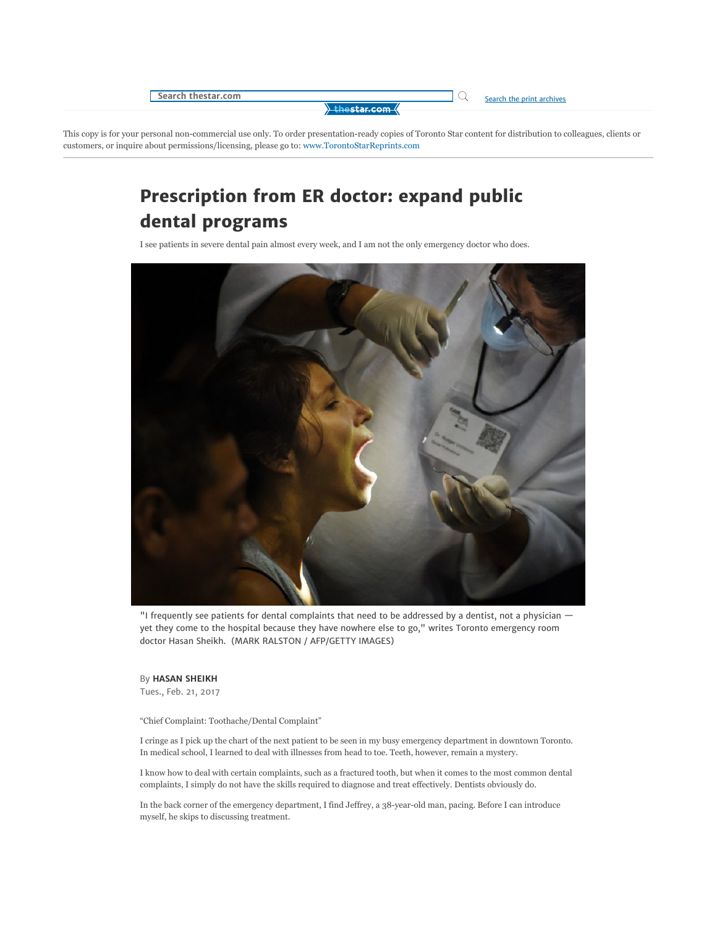

This copy is for your personal non-commercial use only. To order presentation-ready copies of Toronto Star content for distribution to colleagues, clients or customers, or inquire about permissions/licensing, please go to: www.TorontoStarReprints.com

## Prescription from ER doctor: expand public dental programs

I see patients in severe dental pain almost every week, and I am not the only emergency doctor who does.



"I frequently see patients for dental complaints that need to be addressed by a dentist, not a physician yet they come to the hospital because they have nowhere else to go," writes Toronto emergency room doctor Hasan Sheikh. (MARK RALSTON / AFP/GETTY IMAGES)

By HASAN SHEIKH Tues., Feb. 21, 2017

"Chief Complaint: Toothache/Dental Complaint"

I cringe as I pick up the chart of the next patient to be seen in my busy emergency department in downtown Toronto. In medical school, I learned to deal with illnesses from head to toe. Teeth, however, remain a mystery.

I know how to deal with certain complaints, such as a fractured tooth, but when it comes to the most common dental complaints, I simply do not have the skills required to diagnose and treat effectively. Dentists obviously do.

In the back corner of the emergency department, I find Jeffrey, a 38-year-old man, pacing. Before I can introduce myself, he skips to discussing treatment.